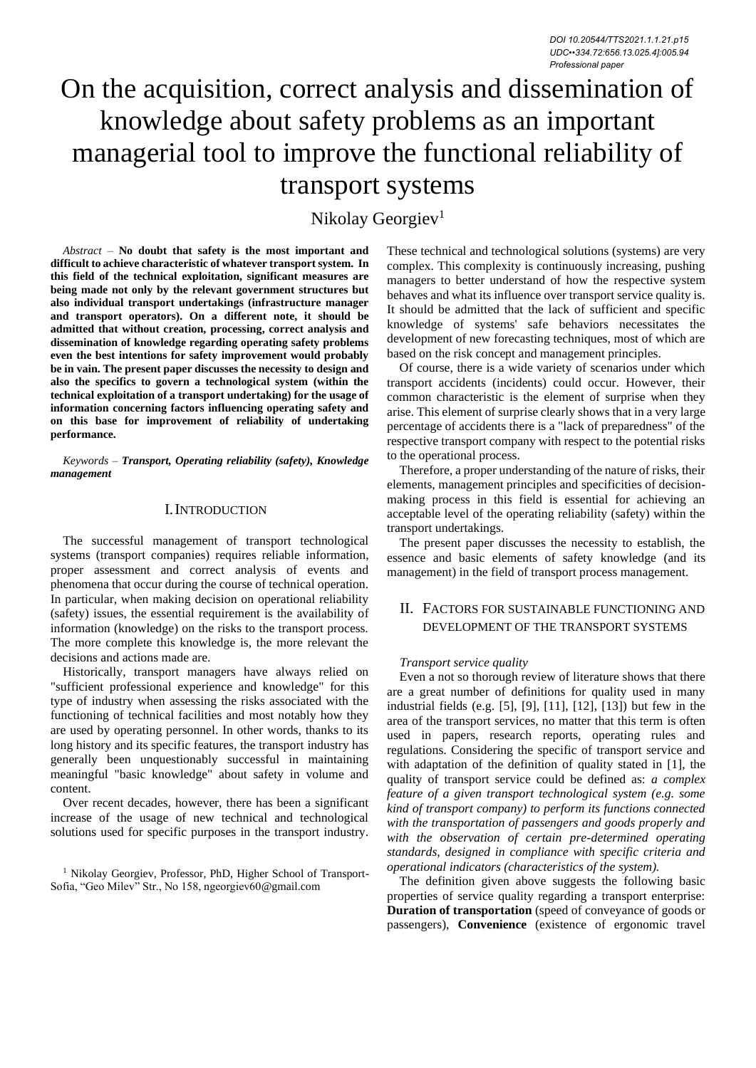# On the acquisition, correct analysis and dissemination of knowledge about safety problems as an important managerial tool to improve the functional reliability of transport systems

Nikolay Georgiev<sup>1</sup>

*Abstract –* **No doubt that safety is the most important and difficult to achieve characteristic of whatever transport system. In this field of the technical exploitation, significant measures are being made not only by the relevant government structures but also individual transport undertakings (infrastructure manager and transport operators). On a different note, it should be admitted that without creation, processing, correct analysis and dissemination of knowledge regarding operating safety problems even the best intentions for safety improvement would probably be in vain. The present paper discusses the necessity to design and also the specifics to govern a technological system (within the technical exploitation of a transport undertaking) for the usage of information concerning factors influencing operating safety and on this base for improvement of reliability of undertaking performance.**

*Keywords – Transport, Operating reliability (safety), Knowledge management*

## I.INTRODUCTION

The successful management of transport technological systems (transport companies) requires reliable information, proper assessment and correct analysis of events and phenomena that occur during the course of technical operation. In particular, when making decision on operational reliability (safety) issues, the essential requirement is the availability of information (knowledge) on the risks to the transport process. The more complete this knowledge is, the more relevant the decisions and actions made are.

Historically, transport managers have always relied on "sufficient professional experience and knowledge" for this type of industry when assessing the risks associated with the functioning of technical facilities and most notably how they are used by operating personnel. In other words, thanks to its long history and its specific features, the transport industry has generally been unquestionably successful in maintaining meaningful "basic knowledge" about safety in volume and content.

Over recent decades, however, there has been a significant increase of the usage of new technical and technological solutions used for specific purposes in the transport industry. These technical and technological solutions (systems) are very complex. This complexity is continuously increasing, pushing managers to better understand of how the respective system behaves and what its influence over transport service quality is. It should be admitted that the lack of sufficient and specific knowledge of systems' safe behaviors necessitates the development of new forecasting techniques, most of which are based on the risk concept and management principles.

Of course, there is a wide variety of scenarios under which transport accidents (incidents) could occur. However, their common characteristic is the element of surprise when they arise. This element of surprise clearly shows that in a very large percentage of accidents there is a "lack of preparedness" of the respective transport company with respect to the potential risks to the operational process.

Therefore, a proper understanding of the nature of risks, their elements, management principles and specificities of decisionmaking process in this field is essential for achieving an acceptable level of the operating reliability (safety) within the transport undertakings.

The present paper discusses the necessity to establish, the essence and basic elements of safety knowledge (and its management) in the field of transport process management.

## II. FACTORS FOR SUSTAINABLE FUNCTIONING AND DEVELOPMENT OF THE TRANSPORT SYSTEMS

### *Transport service quality*

Even a not so thorough review of literature shows that there are a great number of definitions for quality used in many industrial fields (e.g. [5], [9], [11], [12], [13]) but few in the area of the transport services, no matter that this term is often used in papers, research reports, operating rules and regulations. Considering the specific of transport service and with adaptation of the definition of quality stated in [1], the quality of transport service could be defined as: *a complex feature of a given transport technological system (e.g. some kind of transport company) to perform its functions connected with the transportation of passengers and goods properly and with the observation of certain pre-determined operating standards, designed in compliance with specific criteria and operational indicators (characteristics of the system).*

The definition given above suggests the following basic properties of service quality regarding a transport enterprise: **Duration of transportation** (speed of conveyance of goods or passengers), **Convenience** (existence of ergonomic travel

<sup>&</sup>lt;sup>1</sup> Nikolay Georgiev, Professor, PhD, Higher School of Transport-Sofia, "Geo Milev" Str., No 158, ngeorgiev60@gmail.com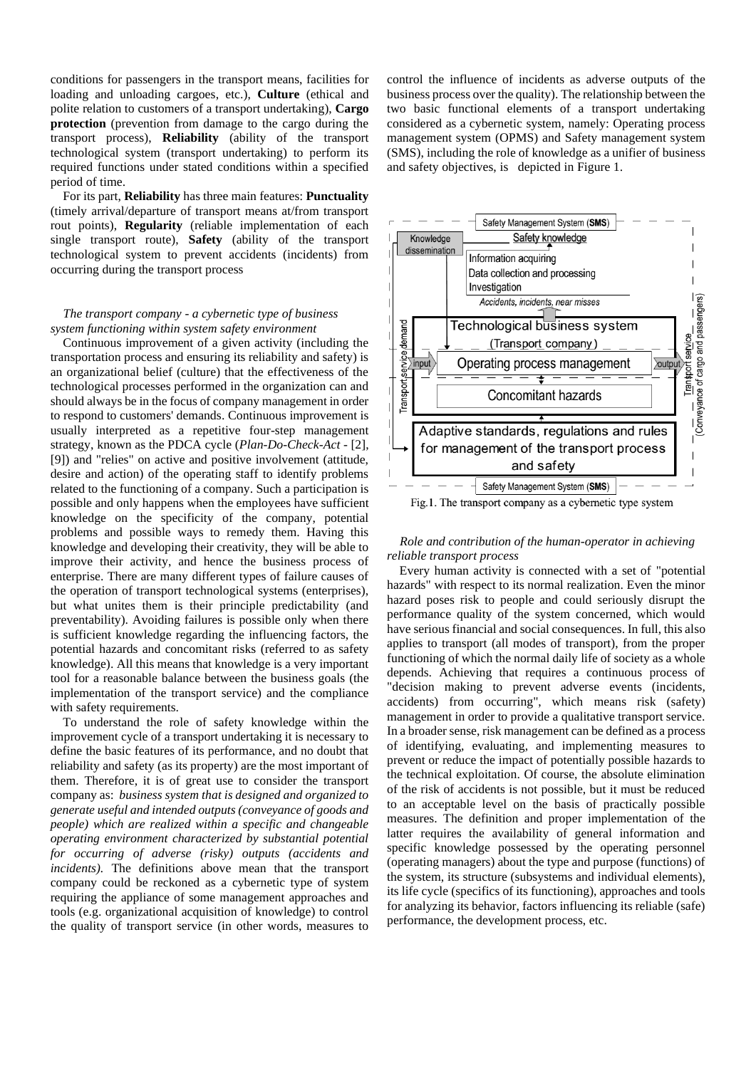conditions for passengers in the transport means, facilities for loading and unloading cargoes, etc.), **Culture** (ethical and polite relation to customers of a transport undertaking), **Cargo protection** (prevention from damage to the cargo during the transport process), **Reliability** (ability of the transport technological system (transport undertaking) to perform its required functions under stated conditions within a specified period of time.

For its part, **Reliability** has three main features: **Punctuality**  (timely arrival/departure of transport means at/from transport rout points), **Regularity** (reliable implementation of each single transport route), **Safety** (ability of the transport technological system to prevent accidents (incidents) from occurring during the transport process

## *The transport company - a cybernetic type of business system functioning within system safety environment*

Continuous improvement of a given activity (including the transportation process and ensuring its reliability and safety) is an organizational belief (culture) that the effectiveness of the technological processes performed in the organization can and should always be in the focus of company management in order to respond to customers' demands. Continuous improvement is usually interpreted as a repetitive four-step management strategy, known as the PDCA cycle (*Plan-Do-Check-Act* - [2], [9]) and "relies" on active and positive involvement (attitude, desire and action) of the operating staff to identify problems related to the functioning of a company. Such a participation is possible and only happens when the employees have sufficient knowledge on the specificity of the company, potential problems and possible ways to remedy them. Having this knowledge and developing their creativity, they will be able to improve their activity, and hence the business process of enterprise. There are many different types of failure causes of the operation of transport technological systems (enterprises), but what unites them is their principle predictability (and preventability). Avoiding failures is possible only when there is sufficient knowledge regarding the influencing factors, the potential hazards and concomitant risks (referred to as safety knowledge). All this means that knowledge is a very important tool for a reasonable balance between the business goals (the implementation of the transport service) and the compliance with safety requirements.

To understand the role of safety knowledge within the improvement cycle of a transport undertaking it is necessary to define the basic features of its performance, and no doubt that reliability and safety (as its property) are the most important of them. Therefore, it is of great use to consider the transport company as: *business system that is designed and organized to generate useful and intended outputs (conveyance of goods and people) which are realized within a specific and changeable operating environment characterized by substantial potential for occurring of adverse (risky) outputs (accidents and incidents).* The definitions above mean that the transport company could be reckoned as a cybernetic type of system requiring the appliance of some management approaches and tools (e.g. organizational acquisition of knowledge) to control the quality of transport service (in other words, measures to control the influence of incidents as adverse outputs of the business process over the quality). The relationship between the two basic functional elements of a transport undertaking considered as a cybernetic system, namely: Operating process management system (OPMS) and Safety management system (SMS), including the role of knowledge as a unifier of business and safety objectives, is depicted in Figure 1.



Fig.1. The transport company as a cybernetic type system

 *Role and contribution of the human-operator in achieving reliable transport process*

Every human activity is connected with a set of "potential hazards" with respect to its normal realization. Even the minor hazard poses risk to people and could seriously disrupt the performance quality of the system concerned, which would have serious financial and social consequences. In full, this also applies to transport (all modes of transport), from the proper functioning of which the normal daily life of society as a whole depends. Achieving that requires a continuous process of "decision making to prevent adverse events (incidents, accidents) from occurring", which means risk (safety) management in order to provide a qualitative transport service. In a broader sense, risk management can be defined as a process of identifying, evaluating, and implementing measures to prevent or reduce the impact of potentially possible hazards to the technical exploitation. Of course, the absolute elimination of the risk of accidents is not possible, but it must be reduced to an acceptable level on the basis of practically possible measures. The definition and proper implementation of the latter requires the availability of general information and specific knowledge possessed by the operating personnel (operating managers) about the type and purpose (functions) of the system, its structure (subsystems and individual elements), its life cycle (specifics of its functioning), approaches and tools for analyzing its behavior, factors influencing its reliable (safe) performance, the development process, etc.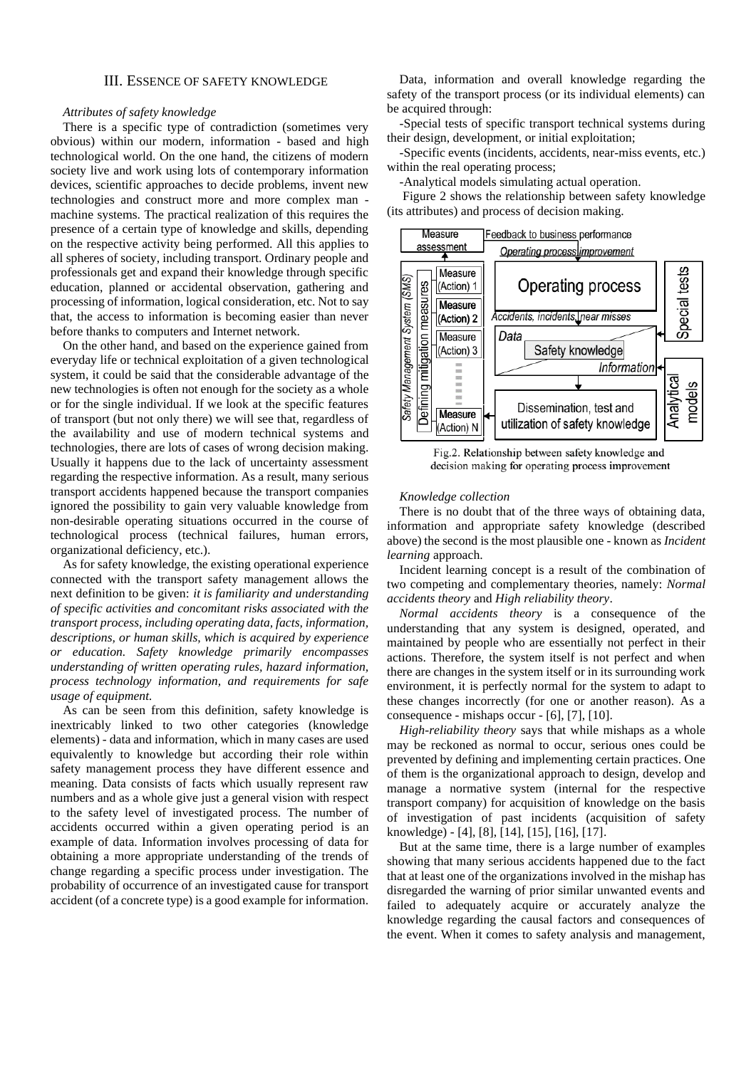#### III. ESSENCE OF SAFETY KNOWLEDGE

#### *Attributes of safety knowledge*

There is a specific type of contradiction (sometimes very obvious) within our modern, information - based and high technological world. On the one hand, the citizens of modern society live and work using lots of contemporary information devices, scientific approaches to decide problems, invent new technologies and construct more and more complex man machine systems. The practical realization of this requires the presence of a certain type of knowledge and skills, depending on the respective activity being performed. All this applies to all spheres of society, including transport. Ordinary people and professionals get and expand their knowledge through specific education, planned or accidental observation, gathering and processing of information, logical consideration, etc. Not to say that, the access to information is becoming easier than never before thanks to computers and Internet network.

On the other hand, and based on the experience gained from everyday life or technical exploitation of a given technological system, it could be said that the considerable advantage of the new technologies is often not enough for the society as a whole or for the single individual. If we look at the specific features of transport (but not only there) we will see that, regardless of the availability and use of modern technical systems and technologies, there are lots of cases of wrong decision making. Usually it happens due to the lack of uncertainty assessment regarding the respective information. As a result, many serious transport accidents happened because the transport companies ignored the possibility to gain very valuable knowledge from non-desirable operating situations occurred in the course of technological process (technical failures, human errors, organizational deficiency, etc.).

As for safety knowledge, the existing operational experience connected with the transport safety management allows the next definition to be given: *it is familiarity and understanding of specific activities and concomitant risks associated with the transport process, including operating data, facts, information, descriptions, or human skills, which is acquired by experience or education. Safety knowledge primarily encompasses understanding of written operating rules, hazard information, process technology information, and requirements for safe usage of equipment.* 

As can be seen from this definition, safety knowledge is inextricably linked to two other categories (knowledge elements) - data and information, which in many cases are used equivalently to knowledge but according their role within safety management process they have different essence and meaning. Data consists of facts which usually represent raw numbers and as a whole give just a general vision with respect to the safety level of investigated process. The number of accidents occurred within a given operating period is an example of data. Information involves processing of data for obtaining a more appropriate understanding of the trends of change regarding a specific process under investigation. The probability of occurrence of an investigated cause for transport accident (of a concrete type) is a good example for information.

Data, information and overall knowledge regarding the safety of the transport process (or its individual elements) can be acquired through:

-Special tests of specific transport technical systems during their design, development, or initial exploitation;

-Specific events (incidents, accidents, near-miss events, etc.) within the real operating process;

-Analytical models simulating actual operation.

Figure 2 shows the relationship between safety knowledge (its attributes) and process of decision making.



Fig.2. Relationship between safety knowledge and decision making for operating process improvement

#### *Knowledge collection*

There is no doubt that of the three ways of obtaining data, information and appropriate safety knowledge (described above) the second is the most plausible one - known as *Incident learning* approach.

Incident learning concept is a result of the combination of two competing and complementary theories, namely: *Normal accidents theory* and *High reliability theory*.

*Normal accidents theory* is a consequence of the understanding that any system is designed, operated, and maintained by people who are essentially not perfect in their actions. Therefore, the system itself is not perfect and when there are changes in the system itself or in its surrounding work environment, it is perfectly normal for the system to adapt to these changes incorrectly (for one or another reason). As a consequence - mishaps occur - [6], [7], [10].

*High-reliability theory* says that while mishaps as a whole may be reckoned as normal to occur, serious ones could be prevented by defining and implementing certain practices. One of them is the organizational approach to design, develop and manage a normative system (internal for the respective transport company) for acquisition of knowledge on the basis of investigation of past incidents (acquisition of safety knowledge) - [4], [8], [14], [15], [16], [17].

But at the same time, there is a large number of examples showing that many serious accidents happened due to the fact that at least one of the organizations involved in the mishap has disregarded the warning of prior similar unwanted events and failed to adequately acquire or accurately analyze the knowledge regarding the causal factors and consequences of the event. When it comes to safety analysis and management,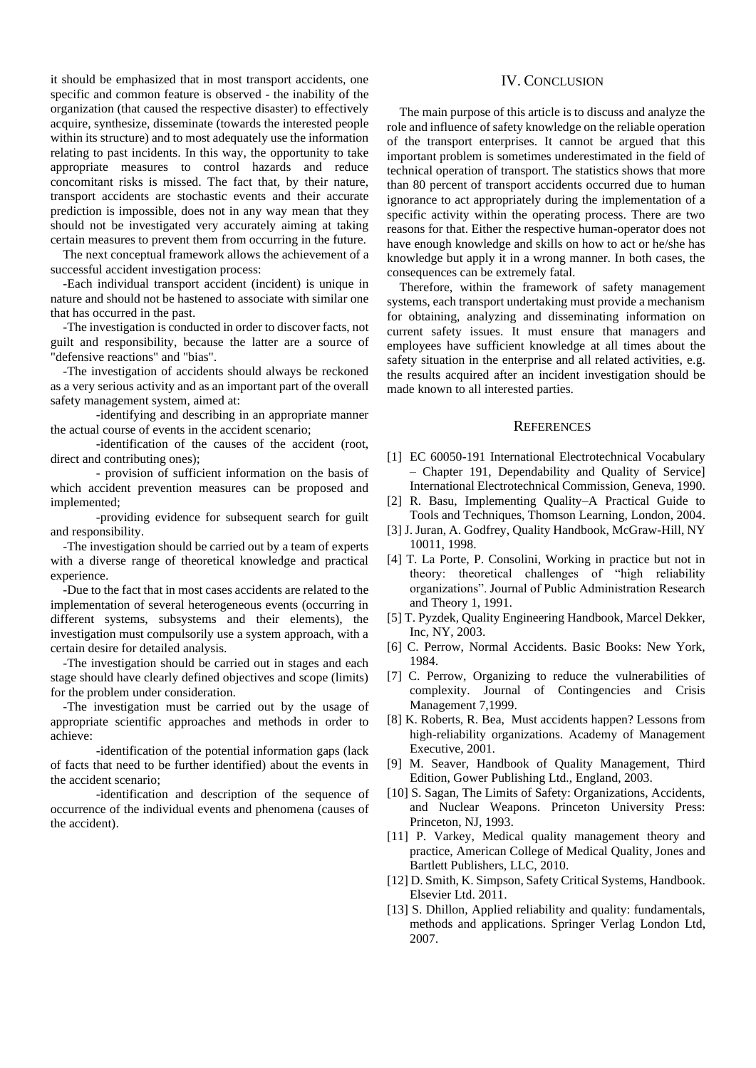it should be emphasized that in most transport accidents, one specific and common feature is observed - the inability of the organization (that caused the respective disaster) to effectively acquire, synthesize, disseminate (towards the interested people within its structure) and to most adequately use the information relating to past incidents. In this way, the opportunity to take appropriate measures to control hazards and reduce concomitant risks is missed. The fact that, by their nature, transport accidents are stochastic events and their accurate prediction is impossible, does not in any way mean that they should not be investigated very accurately aiming at taking certain measures to prevent them from occurring in the future.

The next conceptual framework allows the achievement of a successful accident investigation process:

-Each individual transport accident (incident) is unique in nature and should not be hastened to associate with similar one that has occurred in the past.

-The investigation is conducted in order to discover facts, not guilt and responsibility, because the latter are a source of "defensive reactions" and "bias".

-The investigation of accidents should always be reckoned as a very serious activity and as an important part of the overall safety management system, aimed at:

-identifying and describing in an appropriate manner the actual course of events in the accident scenario;

-identification of the causes of the accident (root, direct and contributing ones);

- provision of sufficient information on the basis of which accident prevention measures can be proposed and implemented;

-providing evidence for subsequent search for guilt and responsibility.

-The investigation should be carried out by a team of experts with a diverse range of theoretical knowledge and practical experience.

-Due to the fact that in most cases accidents are related to the implementation of several heterogeneous events (occurring in different systems, subsystems and their elements), the investigation must compulsorily use a system approach, with a certain desire for detailed analysis.

-The investigation should be carried out in stages and each stage should have clearly defined objectives and scope (limits) for the problem under consideration.

-The investigation must be carried out by the usage of appropriate scientific approaches and methods in order to achieve:

-identification of the potential information gaps (lack of facts that need to be further identified) about the events in the accident scenario;

-identification and description of the sequence of occurrence of the individual events and phenomena (causes of the accident).

## IV. CONCLUSION

The main purpose of this article is to discuss and analyze the role and influence of safety knowledge on the reliable operation of the transport enterprises. It cannot be argued that this important problem is sometimes underestimated in the field of technical operation of transport. The statistics shows that more than 80 percent of transport accidents occurred due to human ignorance to act appropriately during the implementation of a specific activity within the operating process. There are two reasons for that. Either the respective human-operator does not have enough knowledge and skills on how to act or he/she has knowledge but apply it in a wrong manner. In both cases, the consequences can be extremely fatal.

Therefore, within the framework of safety management systems, each transport undertaking must provide a mechanism for obtaining, analyzing and disseminating information on current safety issues. It must ensure that managers and employees have sufficient knowledge at all times about the safety situation in the enterprise and all related activities, e.g. the results acquired after an incident investigation should be made known to all interested parties.

### **REFERENCES**

- [1] EC 60050-191 International Electrotechnical Vocabulary – Chapter 191, Dependability and Quality of Service] International Electrotechnical Commission, Geneva, 1990.
- [2] R. Basu, Implementing Quality–A Practical Guide to Tools and Techniques, Thomson Learning, London, 2004.
- [3] J. Juran, A. Godfrey, Quality Handbook, McGraw-Hill, NY 10011, 1998.
- [4] T. La Porte, P. Consolini, Working in practice but not in theory: theoretical challenges of "high reliability organizations". Journal of Public Administration Research and Theory 1, 1991.
- [5] T. Pyzdek, Quality Engineering Handbook, Marcel Dekker, Inc, NY, 2003.
- [6] C. Perrow, Normal Accidents. Basic Books: New York, 1984.
- [7] C. Perrow, Organizing to reduce the vulnerabilities of complexity. Journal of Contingencies and Crisis Management 7,1999.
- [8] K. Roberts, R. Bea, Must accidents happen? Lessons from high-reliability organizations. Academy of Management Executive, 2001.
- [9] M. Seaver, Handbook of Quality Management, Third Edition, Gower Publishing Ltd., England, 2003.
- [10] S. Sagan, The Limits of Safety: Organizations, Accidents, and Nuclear Weapons. Princeton University Press: Princeton, NJ, 1993.
- [11] P. Varkey, Medical quality management theory and practice, American College of Medical Quality, Jones and Bartlett Publishers, LLC, 2010.
- [12] D. Smith, K. Simpson, Safety Critical Systems, Handbook. Elsevier Ltd. 2011.
- [13] S. Dhillon, Applied reliability and quality: fundamentals, methods and applications. Springer Verlag London Ltd, 2007.